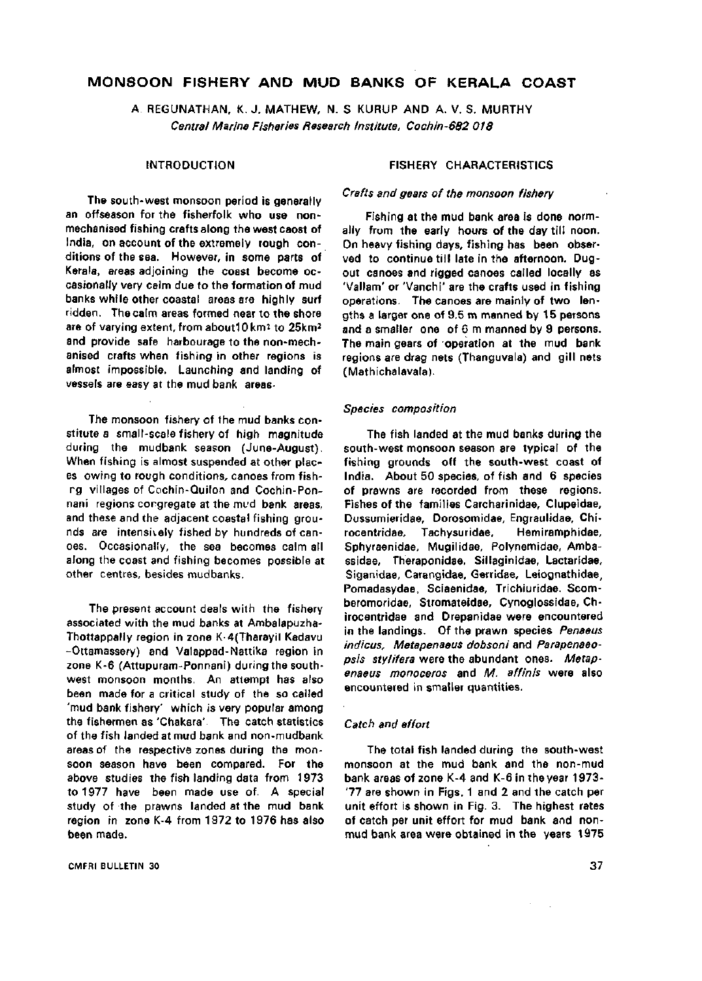# **MONSOON FISHERY AND MUD BANKS OF KERALA COAST**

A REGUNATHAN, K. J. MATHEW, N. S KURUP AND A. V. S. MURTHY Central Marine Fisheries Research Institute, Cochin-682 018

## INTRODUCTION

The south-west monsoon period is generally an offseason for the fisherfolk who use nonmechanised fishing crafts along the west caost of India, on account of the extremely rough conditions of the sea. However, in some parts of Kerala, areas adjoining the coast become occasionally very calm due to the formation of mud banks while other coastal areas are highly surf ridden. The calm areas formed near to the shore are of varying extent, from about 10 km<sup>2</sup> to 25km<sup>2</sup> and provide safe harbourage to the non-mechanised crafts when fishing in other regions is almost impossible. Launching and landing of vessels are easy at the mud bank areas-

The monsoon fishery of the mud banks constitute a small-scale fishery of high magnitude during the mudbank season (June-August). When fishing is almost suspended at other places owing to rough conditions, canoes from fishrg villages of Cochin-Quilon and Cochin-Ponnani regions congregate at the mud bank areas, and these and the adjacent coastal fishing grounds are intensively fished by hundreds of canoes. Occasionally, the sea becomes calm all along the coast and fishing becomes possible at other centres, besides mudbanks.

The present account deals with the fishery associated with the mud banks at Ambalapuzha-Thottappally region in zone K-4(Tharayil Kadavu -Ottamassery) and Valappad-Nattika region in zone K-6 (Attupuram-Ponnani) during the southwest monsoon months. An attempt has also been made for a critical study of the so called 'mud bank fishery' which is very popular among the fishermen as 'Chakara' The catch statistics of the fish landed at mud bank and non-mudbank areas of the respective zones during the monsoon season have been compared. For the above studies the fish landing data from 1973 to 1977 have been made use of. A special study of the prawns landed at the mud bank region in zone K-4 from 1972 to 1976 has also been made.

## FISHERY CHARACTERISTICS

## Crafts and gears of the monsoon fishery

Fishing at the mud bank area is done normally from the early hours of the day till noon. On heavy fishing days, fishing has been observed to continue till late in the afternoon. Dugout canoes and rigged canoes called locally as 'Vallam' or 'Vanchi' are the crafts used in fishing operations. The canoes are mainly of two lengths a larger one of 9.5 m manned by 15 persons and a smaller one of G m manned by 9 persons. The main gears of operation at the mud bank regions are drag nets (Thanguvala) and gill nets (Mathichalavala).

#### Species composition

The fish landed at the mud banks during the south-west monsoon season are typical of the fishing grounds off the south-west coast of India. About 50 species, of fish and 6 species of prawns are recorded from these regions. Fishes of the families Carcharinidae, Clupeidae, Dussumieridae, Dorosomidae, Engraulidae, Chirocentridae, Tachysuridae, Hemiramphidae, Sphyraenidae, Mugilidae, Polynemidae, Ambassidae, Theraponidae. Sillaginidae, Lactaridae, Siganidae, Carangidae, Gerridae, Leiognathidae, Pomadasydae, Sciaenidae, Trichiuridae. Scomberomoridae, Stromateidae, Cynoglossidae, Chirocentridae and Drepanidae were encountered in the landings. Of the prawn species Penaeus indicus, Metapenaeus dobsoni and Parapenaeopsis stylifera were the abundant ones. Metapenaeus monoceros and M. affinis were also encountered in smaller quantities.

### Catch and effort

The total fish landed during the south-west monsoon at the mud bank and the non-mud bank areas of zone K-4 and K-6 in the year 1973- '77 are shown in Figs. 1 and 2 and the catch per unit effort is shown in Fig. 3. The highest rates of catch per unit effort for mud bank and nonmud bank area were obtained in the years 1975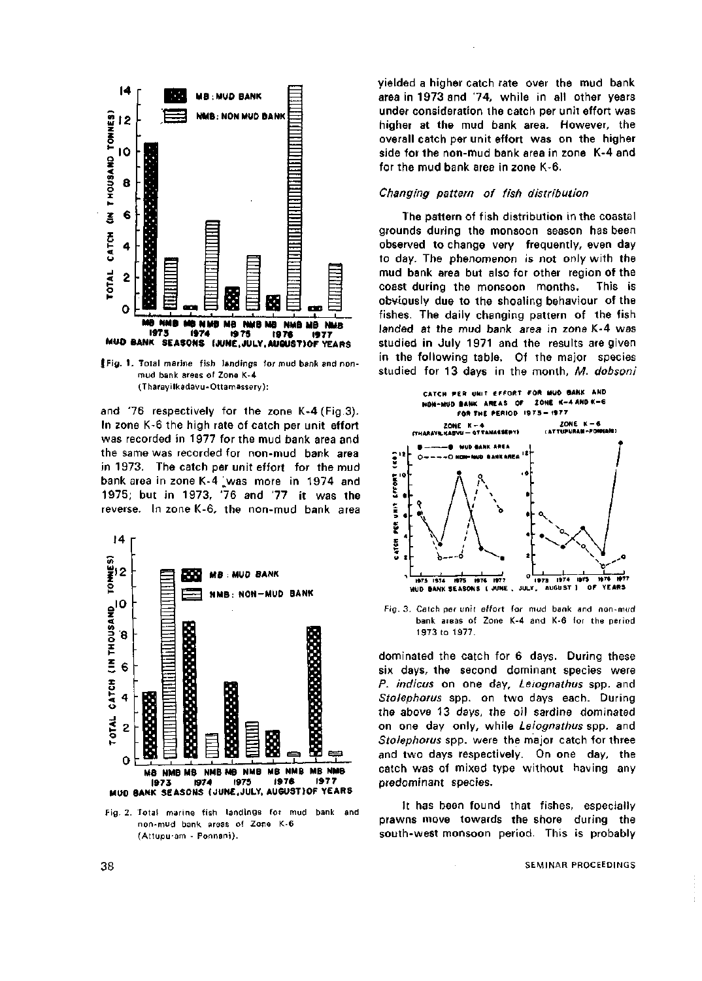

|Fig . 1 . Total marine fish landings for mud bank and nonmud bank areas of Zone K-4 (Tharayilkadavu-Ottamassery):

and '76 respectively for the zone K-4 (Fig.3). In zone K-6 the high rate of catch per unit effort was recorded in 1977 for the mud bank area and the same was recorded for non-mud bank area in 1973. The catch per unit effort for the mud bank area in zone K-4 was more in 1974 and 1975; but in 1973, '76 and '77 it was the reverse. In zone K-6, the non-mud bank area



Fig. 2. Total marine fish landings for mud bank and non-mud bank areas of Zone K-6 (Attupu'am - Ponnani).

yielded a higher catch rate over the mud bank area in 1973 and '74, while in all other years under consideration the catch per unit effort was higher at the mud bank area. However, the overall catch per unit effort was on the higher side for the non-mud bank area in zone K-4 and for the mud bank area in zone K-6.

## Changing pattern of fish distribution

The pattern of fish distribution in the coastal grounds during the monsoon season has been observed to change very frequently, even day to day. The phenomenon is not only with the mud bank area but also for other region of the coast during the monsoon months. This is obviously due to the shoaling behaviour of the fishes. The daily changing pattern of the fish landed at the mud bank area in zone K-4 was studied in July 1971 and the results are given in the following table. Of the major species studied for 13 days in the month, M. dobsoni



Fig. 3. Catch per unit effort for mud bank and non-mud bank areas of Zone K-4 and K-6 for the period 1973 to 1977.

dominated the catch for 6 days. During these six days, the second dominant species were P. indicus on one day, Leiognathus spp. and Stolephorus spp. on two days each. During the above 13 days, the oil sardine dominated on one day only, while Leiognathus spp. and Stolephorus spp. were the major catch for three and two days respectively. On one day, the catch was of mixed type without having any predominant species.

It has been found that fishes, especially prawns move towards the shore during the south-west monsoon period. This is probably

#### 38 SEMINAR PROCEEDINGS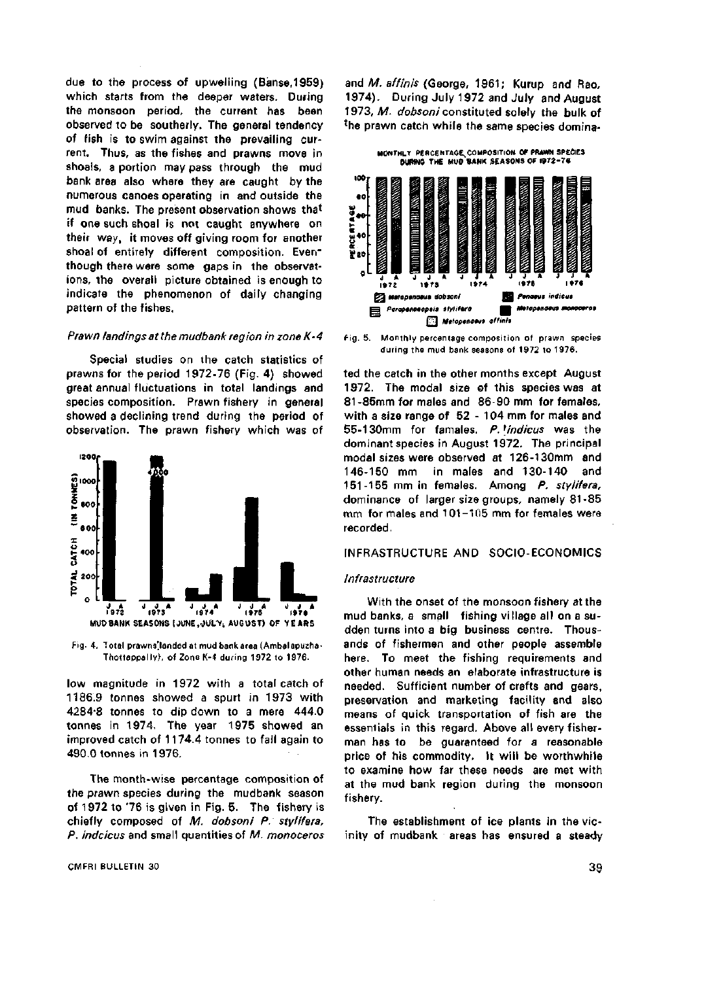due to the process of upweliing (Banse,1959) which starts from the deeper waters. During the monsoon period, the current has been observed to be southerly. The general tendency of fish is to swim against the prevailing current. Thus, as the fishes and prawns move in shoals, a portion may pass through the mud bank area also where they are caught by the numerous canoes operating in and outside the mud banks. The present observation shows that if one such shoal is not caught anywhere on their way, it moves off giving room for another shoal of entirely different composition. Eventhough there were some gaps in the observations, the overall picture obtained is enough to indicate the phenomenon of daily changing pattern of the fishes.

### Prawn landings at the mudbank region in zone K-4 fig. 5. Monthly percentage composition of prawn species

Special studies on the catch statistics of prawns for the period 1972-76 (Fig. 4) showed great annual fluctuations in total landings and species composition. Prawn fishery in general showed a declining trend during the period of observation. The prawn fishery which was of





low magnitude in 1972 with a total catch of 1186.9 tonnes showed a spurt in 1973 with 42848 tonnes to dip down to a mere 444.0 tonnes in 1974. The year 1975 showed an improved catch of 1174.4 tonnes to fall again to 490.0 tonnes in 1976.

The month-wise percentage composition of the prawn species during the mudbank season of 1972 to '76 is given in Fig. 5. The fishery is chiefly composed of M. dobsoni P. stylifera, P. indcicus and small quantities of M. monoceros

#### **CMFRI BULLETIN 30** 39

and *M. affinis* (George, 1961; Kurup and Rao, 1974). During July 1972 and July and August 1973, M. dobsoni constituted solely the bulk of the prawn catch while the same species domina-



**during the mud banl< seasons of 1972 to 1976.** 

ted the catch in the other months except August 1972. The modal size of this species was at 81-85mm for males and 86-90 mm for females, with a size range of 52-104 mm for males and 55-130mm for famales. P. indicus was the dominant species in August 1972. The principal modal sizes were observed at 126-130mm and 146-150 mm in males and 130-140 and 151-155 mm in females. Among P. stylifera, dominance of larger size groups, namely 81-85 mm for males and 101-105 mm for females were recorded.

### INFRASTRUCTURE AND SOCIO-ECONOMICS

## Infrastructure

With the onset of the monsoon fishery at the mud banks, a small fishing village all on a sudden turns into a big business centre. Thousands of fishermen and other people assemble here. To meet the fishing requirements and other human needs an elaborate infrastructure is needed. Sufficient number of crafts and gears, preservation and marketing facility and also means of quick transportation of fish are the essentials in this regard. Above all every fisherman has to be guaranteed for a reasonable price of his commodity. It will be worthwhile to examine how far these needs are met with at the mud bank region during the monsoon fishery.

The establishment of ice plants in the vicinity of mudbank areas has ensured a steady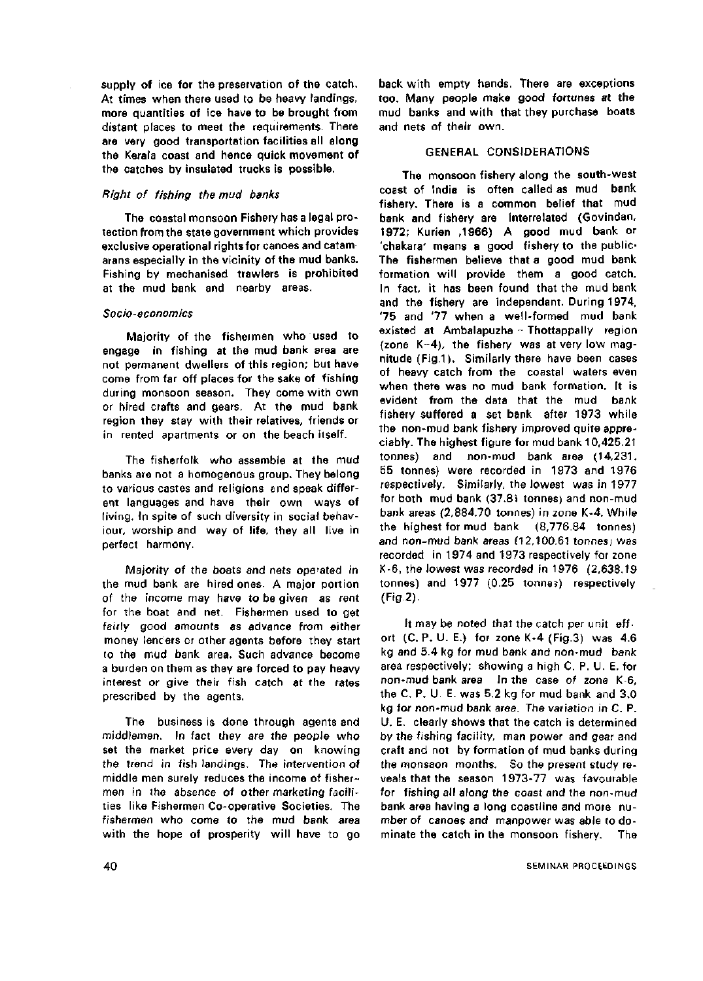supply of ice for the preservation of the catch. At times when there used to be heavy landings, more quantities of ice have to be brought from distant places to meet the requirements. There are very good transportation facilities all along the Kerala coast and hence quick movement of the catches by insulated trucks is possible.

## Right of fishing the mud banks

The coastal monsoon Fishery has a legal protection from the state government which provides exclusive operational rights for canoes and catam arans especially in the vicinity of the mud banks. Fishing by mechanised trawlers is prohibited at the mud bank and nearby areas.

## Socio-economics

Majority of the fisheimen who used to engage in fishing at the mud bank area are not permanent dwellers of this region; but have come from far off places for the sake of fishing during monsoon season. They come with own or hired crafts and gears. At the mud bank region they stay with their relatives, friends or in rented apartments or on the beach ilself.

The fisherfolk who assemble at the mud banks are not a homogenous group. They belong to various castes and religions and speak different languages and have their own ways of living. In spite of such diversity in social behaviour, worship and way of life, they all live in perfect harmony.

Majority of the boats and nets operated in the mud bank are hired ones. A major portion of the income may have to be given as rent for the boat and net. Fishermen used to get fairly good amounts as advance from either money lencers or other agents before they start to the mud bank area. Such advance become a burden on them as they are forced to pay heavy interest or give their fish catch at the rates prescribed by the agents.

The business is done through agents and middlemen. In fact they are the people who set the market price every day on knowing the trend in fish landings. The intervention of middle men surely reduces the income of fishermen in the absence of other marketing facilities like Fishermen Co-operative Societies. The fishermen who come to the mud bank area with the hope of prosperity will have to go back with empty hands. There are exceptions too. Many people make good fortunes at the mud banks and with that they purchase boats and nets of their own.

## GENERAL CONSIDERATIONS

The monsoon fishery along the south-west coast of India is often called as mud bank fishery. There is a common belief that mud bank and fishery are interrelated (Govindan, 1972; Kurien ,1966) A good mud bank or 'chakara' means a good fishery to the public-The fishermen believe that a good mud bank formation will provide them a good catch. In fact, it has been found that the mud bank and the fishery are independent. During 1974, '75 and '77 when a well-formed mud bank existed at Ambalapuzha -- Thottappally region (zone K-4), the fishery was at very low magnitude (Fig.1). Similarly there have been cases of heavy catch from the coastal waters even when there was no mud bank formation. It is evident from the data that the mud bank fishery suffered a set bank after 1973 while the non-mud bank fishery improved quite appreciably. The highest figure for mud bank 10,425.21 tonnes) and non-mud bank area (14,231. 55 tonnes) were recorded in 1973 and 1976 respectively. Similarly, the lowest was in 1977 for both mud bank (37.81 tonnes) and non-mud bank areas (2,884.70 tonnes) in zone K-4. While the highest for mud bank (8,776.84 tonnes) and non-mud bank areas (12,100.61 tonnes) was recorded in 1974 and 1973 respectively for zone K-6, the lowest was recorded in 1976 (2,638.19 tonnes) and 1977 (0.25 tonnes) respectively (Fig.2).

It may be noted that the catch per unit effort  $(C, P, U, E)$  for zone K-4 (Fig.3) was 4.6 kg and 5.4 kg for mud bank and non-mud bank area respectively; showing a high C. P. U. E. for non-mud bank area In the case of zone K-6, the C. P. U. E. was 5.2 kg for mud bank and 3.0 kg for non-mud bank area. The variation in C. P. U. E. clearly shows that the catch is determined by the fishing facility, man power and gear and craft and not by formation of mud banks during the monsaon months. So the present study reveals that the season 1973-77 was favourable for fishing all along the coast and the non-mud bank area having a long coastline and more number of canoes and manpower was able to dominate the catch in the monsoon fishery. The